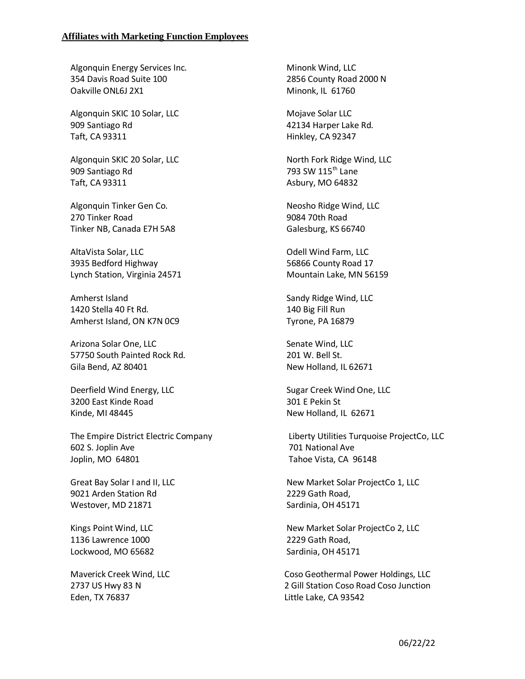## **Affiliates with Marketing Function Employees**

Algonquin Energy Services Inc. 354 Davis Road Suite 100 Oakville ONL6J 2X1

Algonquin SKIC 10 Solar, LLC 909 Santiago Rd Taft, CA 93311

Algonquin SKIC 20 Solar, LLC 909 Santiago Rd Taft, CA 93311

Algonquin Tinker Gen Co. 270 Tinker Road Tinker NB, Canada E7H 5A8

AltaVista Solar, LLC 3935 Bedford Highway Lynch Station, Virginia 24571

Amherst Island 1420 Stella 40 Ft Rd. Amherst Island, ON K7N 0C9

Arizona Solar One, LLC 57750 South Painted Rock Rd. Gila Bend, AZ 80401

Deerfield Wind Energy, LLC 3200 East Kinde Road Kinde, MI 48445

The Empire District Electric Company 602 S. Joplin Ave Joplin, MO 64801

Great Bay Solar I and II, LLC 9021 Arden Station Rd Westover, MD 21871

Kings Point Wind, LLC 1136 Lawrence 1000 Lockwood, MO 65682

Maverick Creek Wind, LLC 2737 US Hwy 83 N Eden, TX 76837

Minonk Wind, LLC 2856 County Road 2000 N Minonk, IL 61760

Mojave Solar LLC 42134 Harper Lake Rd. Hinkley, CA 92347

North Fork Ridge Wind, LLC 793 SW 115<sup>th</sup> Lane Asbury, MO 64832

Neosho Ridge Wind, LLC 9084 70th Road Galesburg, KS 66740

Odell Wind Farm, LLC 56866 County Road 17 Mountain Lake, MN 56159

Sandy Ridge Wind, LLC 140 Big Fill Run Tyrone, PA 16879

Senate Wind, LLC 201 W. Bell St. New Holland, IL 62671

Sugar Creek Wind One, LLC 301 E Pekin St New Holland, IL 62671

Liberty Utilities Turquoise ProjectCo, LLC 701 National Ave Tahoe Vista, CA 96148

New Market Solar ProjectCo 1, LLC 2229 Gath Road, Sardinia, OH 45171

New Market Solar ProjectCo 2, LLC 2229 Gath Road, Sardinia, OH 45171

 Coso Geothermal Power Holdings, LLC 2 Gill Station Coso Road Coso Junction Little Lake, CA 93542